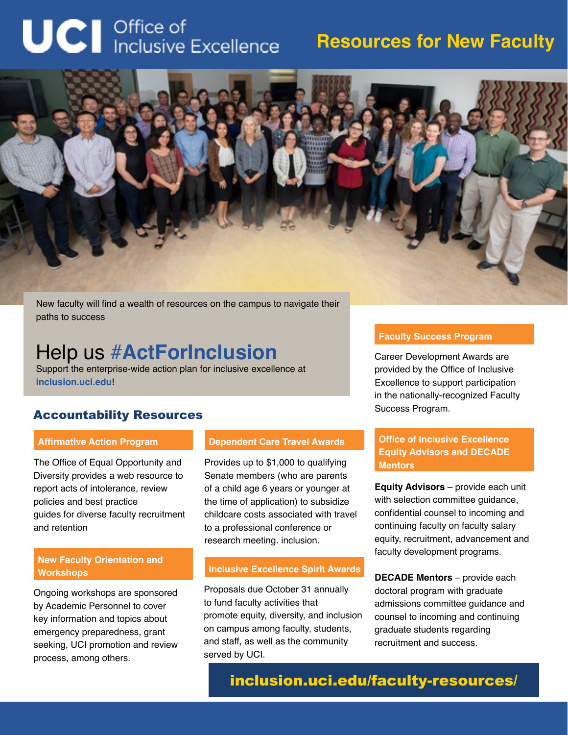# **UCI** Office of<br>Inclusive Excellence

### **Resources for New Faculty**



New faculty will find a wealth of resources on the campus to navigate their paths to success

## Help us #**ActForInclusion**

Support the enterprise-wide action plan for inclusive excellence at **inclusion.uci.edu**!

#### Accountability Resources

#### **Affirmative Action Program**

The Office of Equal Opportunity and Diversity provides a web resource to report acts of intolerance, review policies and best practice guides for diverse faculty recruitment and retention

#### **New Faculty Orientation and Workshops**

Ongoing workshops are sponsored by Academic Personnel to cover key information and topics about emergency preparedness, grant seeking, UCI promotion and review process, among others.

#### **Dependent Care Travel Awards**

Provides up to \$1,000 to qualifying Senate members (who are parents of a child age 6 years or younger at the time of application) to subsidize childcare costs associated with travel to a professional conference or research meeting. inclusion.

#### **Inclusive Excellence Spirit Awards**

Proposals due October 31 annually to fund faculty activities that promote equity, diversity, and inclusion on campus among faculty, students, and staff, as well as the community served by UCI.

#### **Faculty Success Program**

Career Development Awards are provided by the Office of Inclusive Excellence to support participation in the nationally-recognized Faculty Success Program.

#### **Office of Inclusive Excellence Equity Advisors and DECADE Mentors**

**Equity Advisors** – provide each unit with selection committee guidance, confidential counsel to incoming and continuing faculty on faculty salary equity, recruitment, advancement and faculty development programs.

**DECADE Mentors** – provide each doctoral program with graduate admissions committee guidance and counsel to incoming and continuing graduate students regarding recruitment and success.

inclusion.uci.edu/faculty-resources/